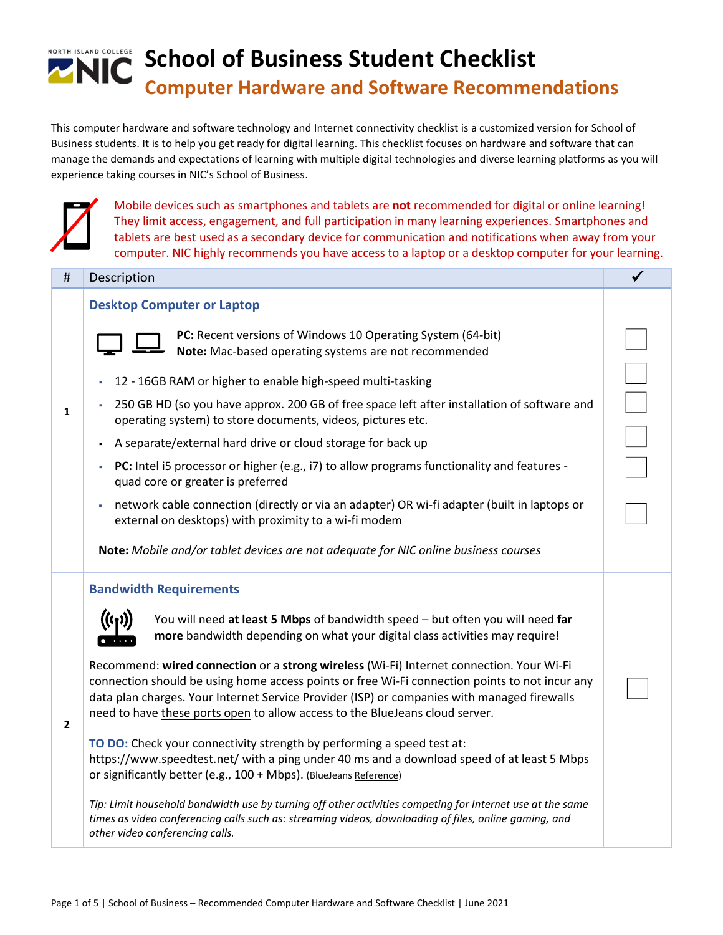

This computer hardware and software technology and Internet connectivity checklist is a customized version for School of Business students. It is to help you get ready for digital learning. This checklist focuses on hardware and software that can manage the demands and expectations of learning with multiple digital technologies and diverse learning platforms as you will experience taking courses in NIC's School of Business.



Mobile devices such as smartphones and tablets are **not** recommended for digital or online learning! They limit access, engagement, and full participation in many learning experiences. Smartphones and tablets are best used as a secondary device for communication and notifications when away from your computer. NIC highly recommends you have access to a laptop or a desktop computer for your learning.

| #              | Description                                                                                                                                                                                                                                           |  |
|----------------|-------------------------------------------------------------------------------------------------------------------------------------------------------------------------------------------------------------------------------------------------------|--|
|                | <b>Desktop Computer or Laptop</b>                                                                                                                                                                                                                     |  |
|                | PC: Recent versions of Windows 10 Operating System (64-bit)<br>Note: Mac-based operating systems are not recommended                                                                                                                                  |  |
|                | 12 - 16GB RAM or higher to enable high-speed multi-tasking<br>٠                                                                                                                                                                                       |  |
| 1              | 250 GB HD (so you have approx. 200 GB of free space left after installation of software and<br>operating system) to store documents, videos, pictures etc.                                                                                            |  |
|                | A separate/external hard drive or cloud storage for back up                                                                                                                                                                                           |  |
|                | PC: Intel i5 processor or higher (e.g., i7) to allow programs functionality and features -<br>à,<br>quad core or greater is preferred                                                                                                                 |  |
|                | network cable connection (directly or via an adapter) OR wi-fi adapter (built in laptops or<br>external on desktops) with proximity to a wi-fi modem                                                                                                  |  |
|                | Note: Mobile and/or tablet devices are not adequate for NIC online business courses                                                                                                                                                                   |  |
|                | <b>Bandwidth Requirements</b>                                                                                                                                                                                                                         |  |
|                | You will need at least 5 Mbps of bandwidth speed - but often you will need far<br>more bandwidth depending on what your digital class activities may require!                                                                                         |  |
|                | Recommend: wired connection or a strong wireless (Wi-Fi) Internet connection. Your Wi-Fi                                                                                                                                                              |  |
|                | connection should be using home access points or free Wi-Fi connection points to not incur any                                                                                                                                                        |  |
| $\overline{2}$ | data plan charges. Your Internet Service Provider (ISP) or companies with managed firewalls<br>need to have these ports open to allow access to the BlueJeans cloud server.                                                                           |  |
|                | TO DO: Check your connectivity strength by performing a speed test at:                                                                                                                                                                                |  |
|                | https://www.speedtest.net/ with a ping under 40 ms and a download speed of at least 5 Mbps<br>or significantly better (e.g., 100 + Mbps). (BlueJeans Reference)                                                                                       |  |
|                | Tip: Limit household bandwidth use by turning off other activities competing for Internet use at the same<br>times as video conferencing calls such as: streaming videos, downloading of files, online gaming, and<br>other video conferencing calls. |  |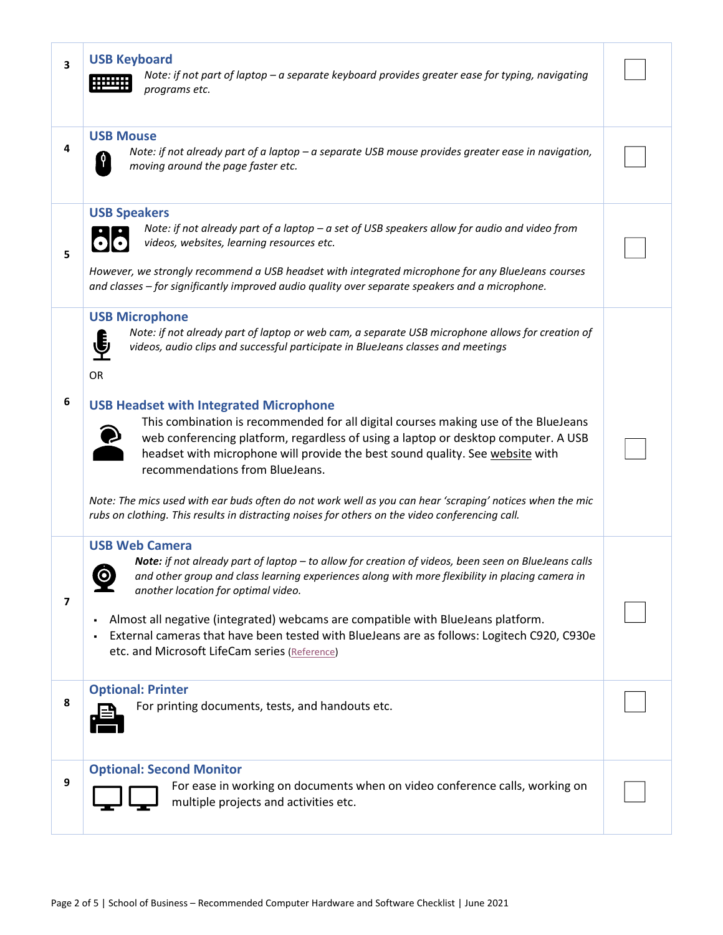|  |  | <b>USB Keyboard</b> |
|--|--|---------------------|
|--|--|---------------------|



**3**

**4**

**5**

*Note: if not part of laptop – a separate keyboard provides greater ease for typing, navigating programs etc.*

### **USB Mouse**

*Note: if not already part of a laptop – a separate USB mouse provides greater ease in navigation, moving around the page faster etc.*

### **USB Speakers**



*Note: if not already part of a laptop – a set of USB speakers allow for audio and video from videos, websites, learning resources etc.*

*However, we strongly recommend a USB headset with integrated microphone for any BlueJeans courses and classes – for significantly improved audio quality over separate speakers and a microphone.*

#### **USB Microphone**



*Note: if not already part of laptop or web cam, a separate USB microphone allows for creation of videos, audio clips and successful participate in BlueJeans classes and meetings*

OR

#### **6 USB Headset with Integrated Microphone**



This combination is recommended for all digital courses making use of the BlueJeans web conferencing platform, regardless of using a laptop or desktop computer. A USB headset with microphone will provide the best sound quality. See [website](https://support.bluejeans.com/s/article/Recommended-headsets-and-microphones?) with recommendations from BlueJeans.

*Note: The mics used with ear buds often do not work well as you can hear 'scraping' notices when the mic rubs on clothing. This results in distracting noises for others on the video conferencing call.*

#### **USB Web Camera**



**7**

**8**

**9**

*Note: if not already part of laptop – to allow for creation of videos, been seen on BlueJeans calls and other group and class learning experiences along with more flexibility in placing camera in another location for optimal video.*

- Almost all negative (integrated) webcams are compatible with BlueJeans platform.
- External cameras that have been tested with BlueJeans are as follows: Logitech C920, C930e etc. and Microsoft LifeCam series [\(Reference\)](https://support.bluejeans.com/s/article/BlueJeans-System-Requirements)

#### **Optional: Printer**



For printing documents, tests, and handouts etc.

#### **Optional: Second Monitor**



For ease in working on documents when on video conference calls, working on multiple projects and activities etc.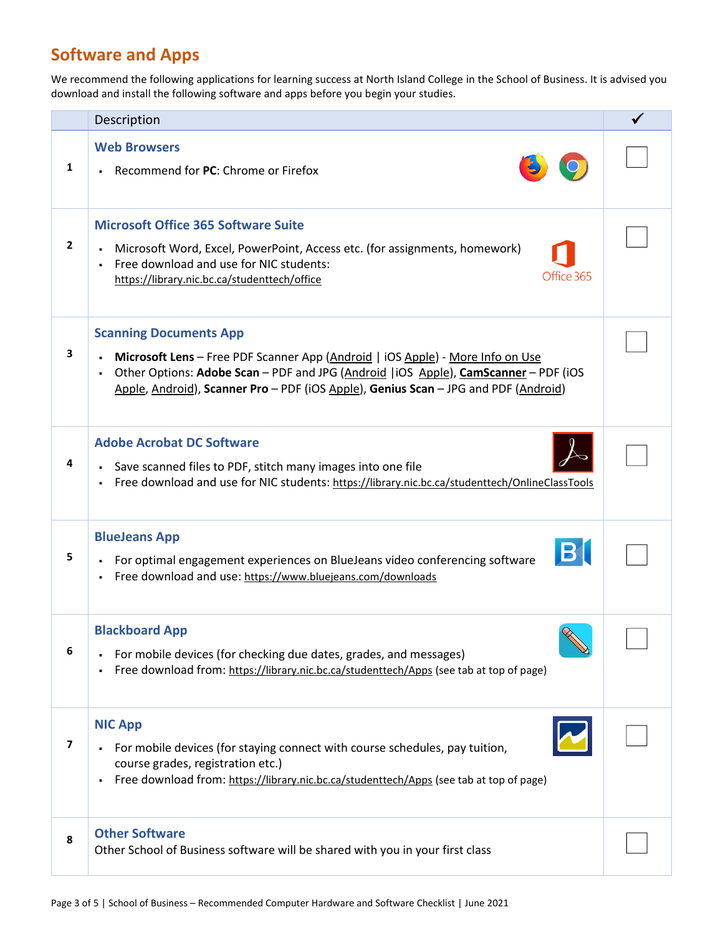# **Software and Apps**

We recommend the following applications for learning success at North Island College in the School of Business. It is advised you download and install the following software and apps before you begin your studies.

|              | Description                                                                                                                                                                                                                                                                                                           |  |
|--------------|-----------------------------------------------------------------------------------------------------------------------------------------------------------------------------------------------------------------------------------------------------------------------------------------------------------------------|--|
| 1            | <b>Web Browsers</b><br>Recommend for PC: Chrome or Firefox<br>$\blacksquare$                                                                                                                                                                                                                                          |  |
| $\mathbf{2}$ | <b>Microsoft Office 365 Software Suite</b><br>Microsoft Word, Excel, PowerPoint, Access etc. (for assignments, homework)<br>٠<br>Free download and use for NIC students:<br>٠.<br>Office 365<br>https://library.nic.bc.ca/studenttech/office                                                                          |  |
| 3            | <b>Scanning Documents App</b><br>Microsoft Lens - Free PDF Scanner App (Android   iOS Apple) - More Info on Use<br>$\blacksquare$<br>Other Options: Adobe Scan - PDF and JPG (Android   iOS Apple), CamScanner - PDF (iOS<br>٠<br>Apple, Android), Scanner Pro - PDF (iOS Apple), Genius Scan - JPG and PDF (Android) |  |
| 4            | <b>Adobe Acrobat DC Software</b><br>Save scanned files to PDF, stitch many images into one file<br>Free download and use for NIC students: https://library.nic.bc.ca/studenttech/OnlineClassTools<br>٠.                                                                                                               |  |
| 5            | <b>BlueJeans App</b><br><b>B</b><br>- For optimal engagement experiences on BlueJeans video conferencing software<br>Free download and use: https://www.bluejeans.com/downloads<br>٠.                                                                                                                                 |  |
| 6            | <b>Blackboard App</b><br>For mobile devices (for checking due dates, grades, and messages)<br>٠<br>Free download from: https://library.nic.bc.ca/studenttech/Apps (see tab at top of page)<br>٠                                                                                                                       |  |
| 7            | <b>NIC App</b><br>For mobile devices (for staying connect with course schedules, pay tuition,<br>course grades, registration etc.)<br>Free download from: https://library.nic.bc.ca/studenttech/Apps (see tab at top of page)<br>٠                                                                                    |  |
| 8            | <b>Other Software</b><br>Other School of Business software will be shared with you in your first class                                                                                                                                                                                                                |  |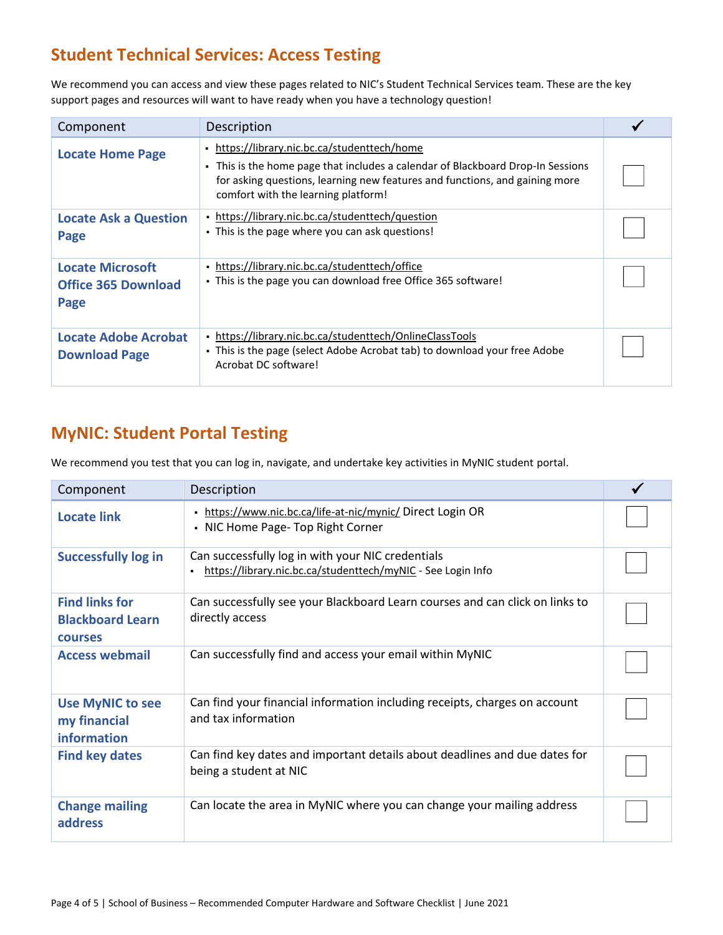### **Student Technical Services: Access Testing**

We recommend you can access and view these pages related to NIC's Student Technical Services team. These are the key support pages and resources will want to have ready when you have a technology question!

| Component                                                     | Description                                                                                                                                                                                                                                           |  |
|---------------------------------------------------------------|-------------------------------------------------------------------------------------------------------------------------------------------------------------------------------------------------------------------------------------------------------|--|
| <b>Locate Home Page</b>                                       | • https://library.nic.bc.ca/studenttech/home<br>- This is the home page that includes a calendar of Blackboard Drop-In Sessions<br>for asking questions, learning new features and functions, and gaining more<br>comfort with the learning platform! |  |
| <b>Locate Ask a Question</b><br>Page                          | • https://library.nic.bc.ca/studenttech/question<br>• This is the page where you can ask questions!                                                                                                                                                   |  |
| <b>Locate Microsoft</b><br><b>Office 365 Download</b><br>Page | https://library.nic.bc.ca/studenttech/office<br>. This is the page you can download free Office 365 software!                                                                                                                                         |  |
| <b>Locate Adobe Acrobat</b><br><b>Download Page</b>           | https://library.nic.bc.ca/studenttech/OnlineClassTools<br>. This is the page (select Adobe Acrobat tab) to download your free Adobe<br>Acrobat DC software!                                                                                           |  |

### **MyNIC: Student Portal Testing**

We recommend you test that you can log in, navigate, and undertake key activities in MyNIC student portal.

| Component                                                          | Description                                                                                                                         |  |
|--------------------------------------------------------------------|-------------------------------------------------------------------------------------------------------------------------------------|--|
| <b>Locate link</b>                                                 | https://www.nic.bc.ca/life-at-nic/mynic/ Direct Login OR<br>٠<br>• NIC Home Page- Top Right Corner                                  |  |
| <b>Successfully log in</b>                                         | Can successfully log in with your NIC credentials<br>https://library.nic.bc.ca/studenttech/myNIC - See Login Info<br>$\blacksquare$ |  |
| <b>Find links for</b><br><b>Blackboard Learn</b><br><b>courses</b> | Can successfully see your Blackboard Learn courses and can click on links to<br>directly access                                     |  |
| <b>Access webmail</b>                                              | Can successfully find and access your email within MyNIC                                                                            |  |
| <b>Use MyNIC to see</b><br>my financial<br>information             | Can find your financial information including receipts, charges on account<br>and tax information                                   |  |
| <b>Find key dates</b>                                              | Can find key dates and important details about deadlines and due dates for<br>being a student at NIC                                |  |
| <b>Change mailing</b><br>address                                   | Can locate the area in MyNIC where you can change your mailing address                                                              |  |